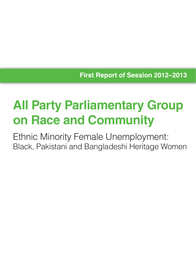**First Report of Session 2012–2013**

# **All Party Parliamentary Group on Race and Community**

Ethnic Minority Female Unemployment: Black, Pakistani and Bangladeshi Heritage Women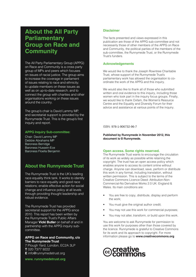## **About the All Party Parliamentary Group on Race and Community**

The All Party Parliamentary Group (APPG) on Race and Community is a cross party group of MPs and peers which focuses on issues of racial justice. The group aims to increase the coverage in parliament of issues relating to race and ethnicity; to update members on these issues as well as on up-to-date research; and to connect the group with charities and other organisations working on these issues around the country.

The group's chair is David Lammy MP, and secretariat support is provided by the Runnymede Trust. This is the group's first inquiry and report.

#### **APPG Inquiry Sub-committee:**

Chair: David Lammy MP Debbie Abrahams MP Baroness Berridge Baroness Hussein-Ece Baroness Floella Benjamin

### **About the Runnymede Trust**

The Runnymede Trust is the UK's leading race equality think tank. It works to identify barriers to race equality and good race relations; enable effective action for social change and influence policy at all levels through providing thought leadership and robust evidence.

The Runnymede Trust has provided secretariat support for the APPG since 2010. This report has been written by the Runnymede Trust's Public Affairs Manager **Vicki Butler** on behalf of and in partnership with the APPG inquiry subcommittee.

#### APPG on Race and Community, c/o **The Runnymede Trust**

7 Plough Yard, London, EC2A 3LP **T** 020 7377 9222 **E** info@runnymedetrust.org

**www. runnymedetrust.org**

#### **Disclaimer**

The facts presented and views expressed in this publication are those of the APPG sub-committee and not necessarily those of other members of the APPG on Race and Community, the political parties of the members of the sub-committee, the Runnymede Trust, or the Runnymede Trust's funders.

#### **Acknowledgements**

We would like to thank the Joseph Rowntree Charitable Trust, whose support of the Runnymede Trust's parliamentary work has allowed the organisation to coordinate the work of the APPG and this inquiry.

We would also like to thank all of those who submitted written and oral evidence to this inquiry, including those women who took part in the inquiry focus groups. Finally, we would like to thank Oxfam, the Women's Resource Centre and the Equality and Diversity Forum for their advice and assistance at various points of the inquiry.

ISBN: 978-1-906732-96-7

**Published by Runnymede in November 2012, this document is © Runnymede.**

#### **Open access. Some rights reserved.**

The Runnymede Trust wants to encourage the circulation of its work as widely as possible while retaining the copyright. The trust has an open access policy which enables anyone to access its content online without charge. Anyone can download, save, perform or distribute this work in any format, including translation, without written permission. This is subject to the terms of the Creative Commons Licence Deed: Attribution-Non-Commercial-No Derivative Works 2.0 UK: England & Wales. Its main conditions are:

- You are free to copy, distribute, display and perform the work;
- You must give the original author credit;
- You may not use this work for commercial purposes;
- You may not alter, transform, or build upon this work.

You are welcome to ask Runnymede for permission to use this work for purposes other than those covered by the licence. Runnymede is grateful to Creative Commons for its work and its approach to copyright. For more information please go to **www.creativecommons.org** 

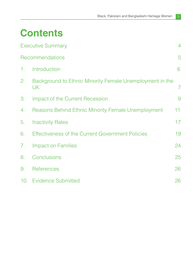## **Contents**

|    | <b>Executive Summary</b>                                       | 4               |
|----|----------------------------------------------------------------|-----------------|
|    | Recommendations                                                | 5               |
| 1. | Introduction                                                   | 6               |
| 2. | Background to Ethnic Minority Female Unemployment in the<br>UK | $\overline{7}$  |
| 3. | Impact of the Current Recession                                | 9               |
| 4. | <b>Reasons Behind Ethnic Minority Female Unemployment</b>      | 11              |
| 5. | <b>Inactivity Rates</b>                                        | 17 <sup>2</sup> |
| 6. | <b>Effectiveness of the Current Government Policies</b>        | 19              |
| 7. | <b>Impact on Families</b>                                      | 24              |
| 8. | Conclusions                                                    | 25              |
| 9. | <b>References</b>                                              | 26              |
|    | 10. Evidence Submitted                                         | 26              |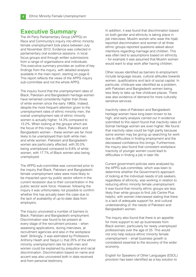## **Executive Summary**

The All Party Parliamentary Group (APPG) on Race and Community's inquiry into ethnic minority female unemployment took place between July and November 2012. Evidence was collected in parliamentary oral evidence sessions, in local focus groups and through written submissions from a range of organisations and individuals. This executive summary provides an outline of key findings from the inquiry, with detailed analysis available in the main report, starting on page 6. This report reflects the views of the APPG inquiry sub-committee and not the whole APPG.

The inquiry found that the unemployment rates of Black, Pakistani and Bangladeshi heritage women have remained consistently higher than those of white women since the early 1980s. Indeed, despite the more frequent attention given to the unemployment rates of ethnic minority men, the overall unemployment rate of ethnic minority women is actually higher, 14.3% compared to 13.2%. When looking at the groups which are the focus of this inquiry – Black, Pakistani and Bangladeshi women – these women are far more likely to be unemployed than both white men and white women. Pakistani and Bangladeshi women are particularly affected, with 20.5% being unemployed compared to 6.8% of white women, with 17.7% of Black women also being unemployed.

The APPG sub-committee was concerned prior to the inquiry that Black, Pakistani and Bangladeshi female unemployment rates were more likely to be impacted upon by public sector reform in the current recession due to their concentration in the public sector work force. However, following the inquiry it was unfortunately not possible to confirm whether this has actually been the case due to the lack of availability of up-to-date data from employers.

The inquiry uncovered a number of barriers to Black, Pakistani and Bangladeshi employment. Discrimination was found to be present at every stage of the recruitment process – when assessing applications, during interviews, at recruitment agencies and also in the workplace itself. Strikingly, it was estimated by Professors Anthony Heath and Yaojun Li that 25% of the ethnic minority unemployment rate for both men and women could be explained by prejudice and racial discrimination. Discrimination based on name and accent was also uncovered both in data received and from personal testimony.

In addition, it was found that discrimination based on both gender and ethnicity is taking place in job interviews. Muslim women who wear the hijab reported discrimination and women of all three ethnic groups reported questions asked about intentions regarding marriage and children. This was often tied to assumptions based on ethnicity – for example it was assumed that Muslim women would want to stop work after having children.

Other issues identified as barriers to employment include language issues, cultural attitudes towards women, qualifications and lack of social capital. In particular, childcare was identified as a problem, with Pakistani and Bangladeshi women being less likely to take up free childcare places. There was also evidence of demand for more culturally sensitive services.

Inactivity rates of Pakistani and Bangladeshi heritage women have long been known to be high, and early analysis carried out in evidence submitted to this report found that inactivity rates of Somali heritage women are even higher. We found that inactivity rates could be high partly because some women may be giving up searching for work due to difficulties in finding employment and the decreased confidence this brings. Furthermore, the inquiry also found that consistent workplace inactivity of younger women could lead to difficulties in finding a job in later life.

Current government policies were analysed by the APPG sub-committee, which was keen to determine whether the Government's approach of looking at the individual needs of job seekers, regardless of ethnicity, was working in relation to reducing ethnic minority female unemployment. It was found that minority ethnic groups are less likely than white groups to find Job Centre Plus helpful, with women interviewed stating that there is a lack of adequate support for, and cultural understanding of, the needs of Pakistani and Bangladeshi women.

The inquiry also found that there is an appetite for more support to set up businesses from Black women, particularly for newly unemployed professionals over the age of 25. This would not only help reduce ethnic minority female unemployment – small business growth is considered essential to the recovery of the wider economy.

English for Speakers of Other Languages (ESOL) provision has been identified as a key solution to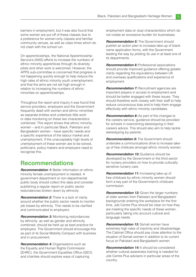barriers in employment, but it was also found that some women are put off of these classes due to a preference for women-only classes and familiar community venues, as well as class times which do not clash with the school run.

On apprenticeships, the National Apprenticeship Service's (NAS) efforts to increase the numbers of ethnic minority apprentices through its diversity pilots and other work is welcomed. However, the APPG sub-committee is concerned that progress is not happening quickly enough to help reduce the high rates of ethnic minority youth unemployment, and that the aims are not set high enough in relation to increasing the numbers of ethnic minorities on apprenticeships.

Throughout the report and inquiry it was found that service providers, employers and the Government frequently dealt with women and ethnic minorities as separate entities and undertook little work or data monitoring on these two characteristics combined. This report shows that ethnic minority women – and in particular Black, Pakistani and Bangladeshi women – have specific needs and a specific experience of the labour market and unemployment. If the unacceptably high levels of unemployment of these women are to be solved, politicians, policy makers and employers need to recognise this.

## **Recommendations**

*Recommendation 1:* Better information on ethnic minority female unemployment is needed. A government department or non-departmental public body should collect this data and consider publishing a regular report on public sector redundancies broken down by ethnicity.

*Recommendation 2:* There is a lack of clarity around whether the public sector needs to monitor job losses by ethnicity. This needs to be clarified and communicated to employers.

**Recommendation 3:** Monitoring redundancies by ethnicity, as well as gender and ethnicity combined, should be held up as best practice for employers. The Government should encourage this as part of its Social Mobility Compact with business and in procurement.

**Recommendation 4:** Organisations such as the Equality and Human Rights Commission (EHRC), the Government Equalities Office (GEO) and charities should explore ways of capturing

employment data on dual characteristics which do not create an excessive burden for businesses.

*Recommendation 5:* The Government should publish an action plan to increase take-up of blank name application forms, with the Government leading the way by piloting its use in at least one of its departments.

**Recommendation 6:** Professional associations should provide improved guidance offering greater clarity regarding the equivalency between UK and overseas qualifications and experience of employment.

*Recommendation 7: Recruitment agencies are* important players in access to employment and should be better engaged with these issues. They should therefore work closely with their staff to help reduce unconscious bias and to help them engage effectively with ethnic minority candidates.

**Recommendation 8:** As part of the changes to the careers service, guidance should be provided for schools in overcoming stereotyping in their careers advice. This should also aim to help tackle stereotyping by parents.

**Recommendation 9:** The Government should undertake a communications drive to increase takeup of free childcare amongst ethnic minority women.

*Recommendation 10: Guidance should be* developed by the Government or the third sector for nursery providers on how to provide culturally sensitive nursery care.

*Recommendation 11:* Increasing take-up of free childcare by ethnic minority women should form a key part of the Government's childcare commission.

*Recommendation 12:* Given the larger numbers of older women from Pakistani and Bangladeshi backgrounds entering the workplace for the first time, Job Centre Plus should be clear on how they are meeting the specific needs of these women, particularly taking into account cultural and language needs.

*Recommendation 13:* Somali women have extremely high rates of inactivity and disadvantage. The Cabinet Office should pay close attention to the situation of Somali women in addition to its current focus on Pakistani and Bangladeshi women.

**Recommendation 14:** It should be considered whether cultural awareness training is needed for Job Centre Plus advisers in particular areas of the country.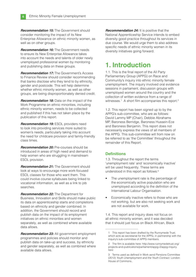**Recommendation 15:** The Government should consider monitoring the impact of its New Enterprise Allowance on ethnic minority women, as well as on other groups.

*Recommendation 16:* The Government needs to ensure its New Enterprise Allowance takes into account the needs and talents of older newly unemployed professional women by monitoring and publishing data on these groups.

*Recommendation 17:* The Government's Access to Finance Review should consider recommending that banks disclose who they lend to by ethnicity, gender and postcode. This will help determine whether ethnic minority women, as well as other groups, are being disproportionately denied credit.

*Recommendation 18:* Data on the impact of the Work Programme on ethnic minorities, including ethnic minority women, needs to be collected and published if this has not taken place by the publication of this report.

*Recommendation 19:* ESOL providers need to look into providing services more suited to women's needs, particularly taking into account the need for childcare provision and family-friendly class times.

*Recommendation 20: Pre-courses should be* introduced in areas of high need and demand to help women who are struggling in mainstream ESOL provision.

*Recommendation 21:* The Government should look at ways to encourage more work-focused ESOL classes for those who want them. This could involve course syllabuses being linked to vocational information, as well as a link to job searches.

*Recommendation 22:* The Department for Business, Innovation and Skills should make public its data on apprenticeship starts and completions based on ethnicity and gender combined. In addition, the Government should record and publish data on the impact of its employment initiatives on ethnic minorities and women separately, as well as combined where available data allows.

*Recommendation 23:* All government employment programmes and policies should monitor and publish data on take-up and success, by ethnicity and gender separately, as well as combined where available data allows.

**Recommendation 24:** It is positive that the National Apprenticeship Service intends to embed diversity good practice throughout its services in due course. We would urge them to also address specific needs of ethnic minority women in its diversity initiatives going forward.

## **1. Introduction**

1.1. This is the final report of the All Party Parliamentary Group (APPG) on Race and Community's inquiry into ethnic minority female unemployment. The inquiry involved oral evidence sessions in parliament, discussion groups with unemployed women around the country and the collection of written evidence from a range of witnesses.<sup>1</sup> A short film accompanies this report.<sup>2</sup>

1.2. This report has been signed up to by the APPG's sub-committee, who are as follows: David Lammy MP (Chair), Debbie Abrahams MP, Baroness Berridge, Baroness Hussein-Ece and Baroness Benjamin. This report does not necessarily express the views of all members of the APPG. This sub-committee will from now on be referred to as 'the Committee' throughout the remainder of this Report.

#### **Defi nitions**

1.3. Throughout the report the terms 'unemployment rate' and 'economically inactive' will be used frequently. These terms are understood in this report as follows:3

- The unemployment rate is the percentage of the economically active population who are unemployed according to the definition of the International Labour Organisation.
- Economically inactive refers to those who are not working, but are also not seeking work and are not available for work.

1.4. This report and inquiry does not focus on all ethnic minority women, and it was decided that it should just focus on Black African, Black

<sup>1</sup> This report has been drafted by the Runnymede Trust, which acts as secretariat for the APPG, in partnership with the inquiry's sub-committee of APPG members.

<sup>2</sup> The film is avalable here: http://www.runnymedetrust.org/ projects-and-publications/parliament/appg-2/appg-inquiry. html

<sup>3</sup> Terms used as defined in Work asnd Pensions Committee (2012) *Youth Unemployment and the Youth Contract*. London: House of Commons..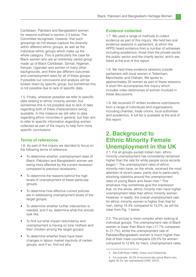Caribbean, Pakistani and Bangladeshi women for reasons outlined in section 2.3 below. The Committee recognises, however, that such groupings do not always capture the diversity within different ethnic groups, as well as the individual ethnic groups which make up the whole category. This is particularly the case for Black women who are an extremely varied group made up of Black Caribbean, Somali, Nigerian, Kenyan, Ugandan and women of many other backgrounds, and there are different outcomes and unemployment rates for all of these groups. If possible our conclusions and analysis will be broken down by specific group, but sometimes this is not possible due to lack of specific data.

1.5. Finally, wherever possible we refer to specific data relating to ethnic minority women, but sometimes this is not possible due to lack of data regarding both of these characteristics being available. In this instance we still refer to data regarding ethnic minorities in general, but then aim to refer to specific information regarding women collected as part of the inquiry to help form more specific conclusions.

#### **Terms of references**

1.6. As part of this inquiry we decided to focus on the following terms of reference:

- To determine whether unemployment rates of Black, Pakistani and Bangladeshi women are being more affected by the current recession compared to previous recessions;
- To determine the reasons behind the high levels of unemployment of these particular groups;
- To determine how effective current policies are in addressing unemployment levels of the target groups;
- To determine whether further intervention is needed, and if so, determine what this should look like;
- To find out what impact redundancy and unemployment is having on lone mothers and their children among the target groups;
- To determine whether there have been changes in labour market inactivity of certain groups, and if so, find out why.

#### **Evidence collected**

1.7. We used a range of methods to collect evidence as part of this inquiry. We held two oral evidence sessions in parliament, at which the APPG heard evidence from a number of witnesses including academics, those from the private sector, the public sector and the charity sector, which are listed at the end of this report.

1.8. We held three evidence sessions outside parliament with local women in Tottenham, Manchester and Oldham. We spoke to approximately 32 women as part of these sessions. A short film accompanies this inquiry which includes video testimonies of women involved in these discussions.

1.9. We received 27 written evidence submissions from a range of individuals and organisations. including charities, trade unions, local authorities and academics. A full list is available at the end of this report.

## **2. Background to Ethnic Minority Female Unemployment in the UK**

2.1. For all groups except Indian men, ethnic minority unemployment has consistently remained higher than the rate for white people since records began.4 The unemployment rates of ethnic minority men have, on the whole, received the most attention of recent years, partly due to particularly shocking statistics around the unemployment rates of young Black and Asian men.5 This emphasis may sometimes give the impression that, on the whole, ethnic minority men have higher unemployment rates than ethnic minority women. However, in reality, the overall unemployment rate for ethnic minority women is higher than that for men, being 14.3% compared to 13.2%, as will be clear from Fig. 1 below.

2.2. The picture is more complex when looking at individual groups. The unemployment rate of Black women is lower than Black men (17.7% compared to 21.7%), whilst the unemployment rate of Pakistani/Bangladeshi women is much higher than that of their male counterparts (20.5% for women compared to 12.8% for men). Unemployment rates

<sup>4</sup> See EJB Rose (1969), *Colour and Citizenship*.

<sup>5</sup> For example, 55.5% of economically active Black men, aged 16–24, are unemployed (ONS, 2012).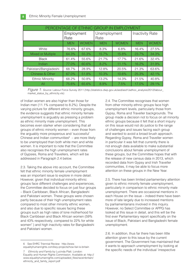| PERCENTAGE OF ETHNIC GROUP IN EMPLOYMENT |                    |              |                      |              |                        |              |  |  |  |  |  |
|------------------------------------------|--------------------|--------------|----------------------|--------------|------------------------|--------------|--|--|--|--|--|
|                                          | Employment<br>Rate |              | Unemployment<br>Rate |              | <b>Inactivity Rate</b> |              |  |  |  |  |  |
|                                          | <b>MEN</b>         | <b>WOMEN</b> | <b>MEN</b>           | <b>WOMEN</b> | <b>MEN</b>             | <b>WOMEN</b> |  |  |  |  |  |
| White                                    | 76.6%              | 67.6%        | 8.3%                 | 6.8%         | 16.4%                  | 27.5%        |  |  |  |  |  |
| Mixed or Multiple                        | 64.3%              | 55.3%        | 15.7%                | 15.8%        | 23.7%                  | 34.3%        |  |  |  |  |  |
| <b>Black</b>                             | 61.4%              | 55.6%        | 21.7%                | 17.7%        | 21.6%                  | 32.4%        |  |  |  |  |  |
| Indian                                   | 77.0%              | 60.6%        | 8.2%                 | 11.1%        | 16.2%                  | 31.9%        |  |  |  |  |  |
| Pakistani/Bangladeshi                    | 68.7%              | 28.9%        | 12.8%                | 20.5%        | 21.3%                  | 63.6%        |  |  |  |  |  |
| <b>Chinese &amp; Other</b>               | 67.0%              | 51.8%        | 10.3%                | 10.6%        | 25.3%                  | 42.1%        |  |  |  |  |  |
| <b>Ethnic Minority</b>                   | 68.2%              | 50.8%        | 13.2%                | 14.3%        | 21.5%                  | 40.8%        |  |  |  |  |  |
| All                                      | 75.6%              | 65.6%        | 8.9%                 | 7.5%         | 17.0%                  | 29.1%        |  |  |  |  |  |

*Figure 1: Source:* Labour Force Survey 2011 (http://statistics.dwp.gov.uk/asd/asd1/adhoc\_analysis/2012/labour\_ market status by ethnicity.xls)

of Indian women are also higher than those for Indian men (11.1% compared to 8.2%). Despite the varying picture for different ethnic minority groups, the evidence suggests that ethnic minority female unemployment is arguably as pressing a problem as ethnic minority male unemployment. This becomes even starker when considering that all groups of ethnic minority women – even those from the arguably more prosperous and 'successful' Chinese and Indian communities $^6$  – are more likely to be unemployed than both white men and white women. It is important to note that the Committee also recognises the high unemployment rates of Gypsies, Roma and Travellers, which will be addressed in Paragraph 2.4 below.

2.3. Taking the above into account, the Committee felt that ethnic minority female unemployment was an important issue to explore in more detail. However, given that individual minority ethnic groups face different challenges and experiences, the Committee decided to focus on just four groups – Black Caribbean, Black African, Bangladeshi and Pakistani women. These groups were chosen partly because of their high unemployment rates compared to most other minority ethnic women, and also due to specific issues facing these groups such as high rates of lone motherhood for Black Caribbean and Black African women (59% and 43% respectively, compared to 22% for white women7 ) and high inactivity rates for Bangladeshi and Pakistani women.

6 See EHRC Triennial Review: http://www. equalityhumanrights.com/key-projects/how-fair-is-britain 2.4. The Committee recognises that women from other minority ethnic groups face high unemployment levels, particularly those from Gypsy, Roma and Traveller backgrounds. The group made a decision not to focus on all minority ethnic groups because it felt that a short inquiry on this issue would not do justice to the range of challenges and issues facing each group and wanted to avoid a broad brush approach. Regarding Gypsy, Roma and Traveller women in particular it was felt that currently there is not enough data available to make substantial conclusions about female unemployment of these groups, but the Committee hopes that with the release of new census data in 2013, which recorded data from Gypsy and Irish Traveller communities, it may be able to focus more attention on these groups in the New Year.

2.5. There has been limited parliamentary attention given to ethnic minority female unemployment, particularly in comparison to ethnic minority male unemployment. There are occasional mentions in each House on the issue – indeed there have been more of late largely due to increased mentions by parliamentarians involved in this inquiry. However, no Select Committee or APPG has looked at this issue in detail, and this will be the first ever Parliamentary report specifically on the issue of Black, Pakistani and Bangladeshi female unemployment.

2.6. In addition, thus far there has been little attention given to this issue by the current government. The Government has maintained that it wants to approach unemployment by looking at the specific needs of the individual 'irrespective

<sup>7</sup> *Ethnicity and Family* by Lucinda Platt. London: Equality and Human Rights Commission. Available at: http:// www.equalityhumanrights.com/uploaded\_files/raceinbritain/ ethnicity\_and\_family\_report.pdf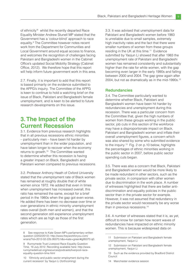of ethnicity'<sup>8</sup> whilst the recently departed Race Equality Minister Andrew Stunell MP stated that the Government has a 'colour-blind' approach to race equality.9 The Committee however notes recent work from the Department for Communities and Local Government around equal access to finance, and welcomes the recognition of challenges facing Pakistani and Bangladeshi women in the Cabinet Office's updated Social Mobility Strategy (Cabinet Office, 2012). We therefore hope that this report will help inform future government work in this area.

2.7. Finally, it is important to add that this report is based primarily on the evidence submitted to the APPG's inquiry. The Committee of the APPG is keen to continue to hold a watching brief on the issue of Black, Pakistani and Bangladeshi female unemployment, and is keen to be alerted to future research developments on this issue.

## **3. The Impact of the Current Recession**

3.1. Evidence from previous research highlights that in all previous recessions ethnic minorities – particularly men – have been hit harder by unemployment than in the wider population, and have taken longer to recover when the economy returns to growth.10 The Committee wanted to determine whether this recession is having a greater impact on Black, Bangladeshi and Pakistani women compared to previous recessions.

3.2. Professor Anthony Heath of Oxford University stated that the unemployment rate of Black women has remained at roughly double that of white women since 1972. He added that even in times when unemployment has increased overall, this ratio has remained the same, except for a brief period in the 1980s when the gap got even worse. He added there has been no decrease over time or over generations in ethnic minority unemployment rates overall (both men and women), and that the second generation still experience unemployment rates which are as high as those of the first generation.

3.3. It was advised that unemployment data for Pakistani and Bangladeshi women before 1983 is unreliable due to small samples, extremely high inactivity rates and the fact that there were smaller numbers of women from these groups residing in the UK at this time.<sup>11</sup> Evidence submitted by Yaojun Li showed that after 1983 the unemployment rate of Pakistani and Bangladeshi women has remained consistently and substantially higher than the rate for white women, with the gap becoming even larger in the early 1990s and falling between 2000 and 2004. The gap grew again after 2004, but not as dramatically as in the mid-1990s.12

#### **Redundancies**

3.4. The Committee particularly wanted to determine whether Black, Pakistani and Bangladeshi women have been hit harder by redundancies and unemployment during this recession. There was a particular concern from the Committee that, given the high numbers of women from these groups working in the public sector, job cuts in this section of the workforce may have a disproportionate impact on Black, Pakistani and Bangladeshi women and inflate their overall unemployment figures, a concern which was also shared by some who submitted evidence to the inquiry.13 Fig. 2 on p.10 below, highlights the percentages of ethnic minorities working in the public sector in 2007, before public sector spending cuts began.

3.5. There was also a concern that Black, Pakistani and Bangladeshi women would be more likely to be made redundant in other sectors, such as the private sector, in comparison with other women due to discrimination in the work place. A number of witnesses highlighted that there are better antidiscrimination and equality policies in the public sector than in the private sector for example. However, it was not assumed that redundancy in the private sector would necessarily be any worse than in previous recessions.<sup>14</sup>

3.6. A number of witnesses stated that it is, as yet, difficult to know for certain how recent waves of redundancies have impacted on ethnic minority women. This is because widespread data on

<sup>8</sup> See response to Kate Green MP's parliamentary written question (22/02/2012): http://www.theyworkforyou.com/ wrans/?id=2012-02-22b.95070.h&s=kate+green#g95070.q0.

<sup>9</sup> Runnymede Trust Liverpool Race Equality Question Time, 19 July 2012. Recording available here: http://www. runnymedetrust.org/resources/podcasts/liverpool-raceequality-question-time.html

<sup>10 &#</sup>x27;Ethnicity and public sector employment during the current recession' by Yaojun Li (forthcoming)

<sup>11</sup> Submission on Pakistani and Bangladeshi female unemployment, Yaojun Li

<sup>12</sup> Submission on Pakistani and Bangladeshi female unemployment, Yaojun Li

<sup>13</sup> Such as the evidence provided by Bradford District Council

<sup>14</sup> Manchester evidence session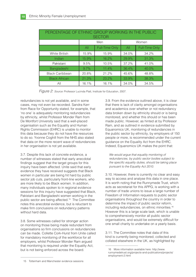| PERCENTAGE OF ETHNIC GROUP WORKING IN THE PUBLIC<br><b>SECTOR</b> |       |                       |       |                       |  |  |  |  |  |
|-------------------------------------------------------------------|-------|-----------------------|-------|-----------------------|--|--|--|--|--|
|                                                                   |       | Men                   | Women |                       |  |  |  |  |  |
|                                                                   | All   | <b>Full-Time Only</b> | All   | <b>Full-Time Only</b> |  |  |  |  |  |
| White British                                                     | 15.9% | 15.9%                 | 34.0% | 34.2%                 |  |  |  |  |  |
| Indian                                                            | 15.9% | 16.2%                 | 29.9% | 31.3%                 |  |  |  |  |  |
| Pakistani                                                         | 9.5%  | 10.5%                 | 37.2% | 41.0%                 |  |  |  |  |  |
| Bangladeshi                                                       | 9.7%  | 11.4%                 | 36.4% | 40.0%                 |  |  |  |  |  |
| <b>Black Caribbean</b>                                            | 20.8% | 21.2%                 | 45.6% | 48.8%                 |  |  |  |  |  |
| <b>Black African</b>                                              | 21.3% | 23.2%                 | 33.9% | 38.3%                 |  |  |  |  |  |
| All                                                               | 16.1% | 16.1%                 | 34.0% | 34.5%                 |  |  |  |  |  |

*Figure 2: Source:* Professor Lucinda Platt, Institute for Education, 2007.

redundancies is not yet available, and in some cases, may not even be recorded. Sandra Kerr from Race for Opportunity stated, for example, that 'no one' is adequately monitoring redundancies by ethnicity, whilst Professor Monder Ram from De Montfort University said that a well-placed organisation such as the Equality and Human Rights Commission (EHRC) is unable to monitor this data because they do not have the resources to do so. Yvonne Coghill from the NHS also stated that data on the more recent wave of redundancies in her organisation is not yet available.

3.7. Despite this lack of concrete evidence, a number of witnesses stated that early anecdotal findings suggest that the target groups for this inquiry have been affected. Unite said that early evidence they have received suggests that Black women in particular are being hit hard by public sector job cuts, particularly front-line workers, who are more likely to be Black women. In addition, many individuals spoken to in regional evidence sessions for this inquiry have suggested that Black, Pakistani and Bangladeshi women working in the public sector are being affected.<sup>15</sup> The Committee notes this anecdotal evidence, but is reluctant to make firm conclusions on redundancy patterns without hard data.

3.8. Some witnesses called for stronger action on monitoring those being made redundant from organisations so firm conclusions on redundancies can be made. Collette Cork-Hurst from Unite called for mandatory monitoring of the workforce for all employers, whilst Professor Monder Ram argued that monitoring is required under the Equality Act, but is not being enforced across the board.

3.9. From the evidence outlined above, it is clear that there is lack of clarity amongst organisations and academics over whether or not redundancy data broken down by ethnicity should or is being monitored, and whether this should or has been made public. However, as hinted at by Professor Ram, and as outlined in evidence submitted by Equanomics UK, monitoring of redundancies in the public sector by ethnicity, by employers of 150 people or more, is recommended under the current guidance on the Equality Act from the EHRC. Indeed, Equanomics UK makes the point that:

*We would argue that equality monitoring of redundancies, by public sector bodies subject to*  the specific equality duties, should be taking place *pursuant to the Equality Act 2010.*

3.10. However, there is currently no clear and easy way to access and analyse this data in one place. It is worth noting that the Runnymede Trust, which acts as secretariat for this APPG, is working with a number of trade unions to issue a large number of Freedom of Information requests to public sector organisations throughout the country in order to determine the impact of public sector reform, including redundancies, on ethnic minorities.16 However this is a large scale task, which is unable to comprehensively monitor all public sector organisations, and would be extremely difficult for one small charity to undertake on a yearly basis.

3.11. The Committee notes that data of this kind is currently being monitored, collected and collated elsewhere in the UK, as highlighted by

<sup>16</sup> More information available here: http://www. runnymedetrust.org/projects-and-publications/projects/ employment-2.html

<sup>15</sup> Tottenham and Manchester evidence sessions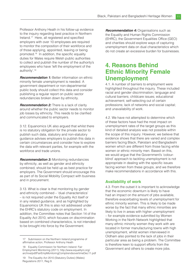Professor Anthony Heath in his follow-up evidence to the inquiry regarding best practice in Northern Ireland.<sup>17</sup> Here, all registered and specified employers with over 10 employees are required to monitor the composition of their workforce and of those applying, appointed, leaving or being promoted.<sup>18</sup> In addition, the specific equality duties for Wales require Welsh public authorities to collect and publish the number of the authority's employees who have 'left the employment of the authority'.19

**Recommendation 1:** Better information on ethnic minority female unemployment is needed. A government department or non-departmental public body should collect this data and consider publishing a regular report on public sector redundancies broken down by ethnicity.

*Recommendation 2:* There is a lack of clarity around whether the public sector needs to monitor job losses by ethnicity. This needs to be clarified and communicated to employers.

3.12. Equanomics UK also argued that whilst there is no statutory obligation for the private sector to publish such data, statutory and non-statutory guidance advises employers to publish this data in certain circumstances and consider how to explore the data with relevant parties, for example with the workforce and trade unions.

**Recommendation 3:** Monitoring redundancies by ethnicity, as well as gender and ethnicity combined, should be held up as best practice for employers. The Government should encourage this as part of its Social Mobility Compact with business and in procurement.

3.13. What is clear is that monitoring by gender and ethnicity combined – 'dual characteristics' – is not required under the Equality Act itself or in any related guidance, and as highlighted by Equanomics UK this is also not addressed under the EHRC's statutory code on employment. In addition, the Committee notes that Section 14 of the Equality Act 2010, which focuses on discrimination based on combined characteristics, is not intended to be brought into force by the Government.

**Recommendation 4: Organisations such as** the Equality and Human Rights Commission (EHRC), the Government Equalities Office (GEO) and charities should explore ways of capturing unemployment data on dual characteristics which do not create an excessive burden for businesses.

## **4. Reasons Behind Ethnic Minority Female Unemployment**

4.1. A number of barriers to employment were highlighted throughout the inquiry. These included racial and gender discrimination; language and cultural barriers; childcare issues; educational achievement; self-selecting out of certain professions; lack of networks and social capital; and unavailability of work.

4.2. We have not attempted to determine which of these factors have had the most impact on unemployment rates of the target groups as this kind of detailed analysis was not possible within the scope of this inquiry. However, we believe that evidence shows that there are varied and complex barriers facing Black, Pakistani and Bangladeshi women which are different from those facing white women or ethnic minority men. Based on this, we would argue that the Government's 'colourblind' approach to tackling unemployment is not appropriate in dealing with the specific issues facing women from these groups, and we therefore make recommendations in accordance with this.

#### **Availability of work**

4.3. From the outset it is important to acknowledge that the economic downturn is likely to have had an impact on the amount of jobs available, therefore exacerbating levels of unemployment for ethnic minority women. This is likely to be made worse by the fact that many ethnic minorities are likely to live in areas with higher unemployment – for example evidence submitted by Women Working in the North Network highlighted that many ethnic minority women they work with are located in former manufacturing towns with high unemployment, whilst women interviewed in Oldham also pointed to the lack of jobs in their particular area as being a problem. The Committee is therefore keen to support efforts from the Government and others to create more jobs.

<sup>17</sup> Submission on the Northern Ireland programme of affirmative action, Professor Anthony Heath

<sup>18</sup> Equality Commission for Northern Ireland: Fair Employment Monitoring (2011): http://www.equalityni.org/ archive/pdf/FairEmpMonitoringComptrendsovertimeDec11.pdf

<sup>19</sup> The Equality Act 2010 (Statutory Duties) (Wales) Regulations 2011, Reg 9.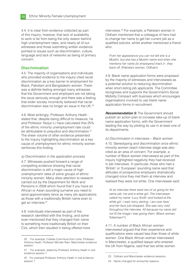4.4. It is clear from evidence collected as part of this inquiry, however, that lack of availability to work is far from being the only reason behind high unemployment rates, and nearly all of our witnesses and those submitting written evidence pointed to issues such as discrimination, culture, language and lack of networks as being of primary concern.

#### **Discrimination**

4.5. The majority of organisations and individuals who provided evidence to the inquiry cited racial discrimination as a key barrier to employment for Black, Pakistani and Bangladeshi women. There was a definite feeling amongst many witnesses that the Government and employers are not taking the issue seriously enough and there was a feeling that wider society incorrectly believed that racial discrimination was no longer an issue in the UK.<sup>20</sup>

4.6. Most strikingly, Professor Anthony Heath stated that, despite being difficult to measure, he and Professor Yaojun Li have calculated that 25% of the ethnic minority unemployment rate could be attributable to prejudice and discrimination.<sup>21</sup> The sheer volume of other evidence presented to the inquiry highlighting discrimination as a key cause of unemployment for ethnic minority women reinforces this finding.

#### *a) Discrimination in the application process*

4.7. Witnesses pushed forward a range of compelling evidence showing that racial discrimination is still a major cause of high unemployment rates of some groups of ethnic minority women. Many drew attention to research carried out by the Department for Work and Pensions in 2008 which found that if you have an African or Asian sounding surname you need to send approximately twice as many job applications as those with a traditionally British name even to get an interview.<sup>22</sup>

4.8. Individuals interviewed as part of the research identified with this finding, and some even mentioned that they changed their name to something more traditionally British on their CVs, which then resulted in being offered more interviews.23 For example, a Pakistani woman in Oldham mentioned that a colleague of hers had to change her name to get her current job as a qualified solicitor, whilst another mentioned a friend who:

*From her appearance you can not tell she is a Muslim, but she has a Muslim name and when she mentions her name [to employers] that's it - they back o*ff *.* (Pakistani woman, Oldham)

4.9. Blank name application forms were proposed by the majority of witnesses and interviewees as a potential solution to reducing discrimination when short-listing job applicants. The Committee recognises and supports the Government's Social Mobility Compact with business which encourages organisations involved to use blank name application forms in recruitment.

*Recommendation 5:* The Government should publish an action plan to increase take-up of blank name application forms, with the Government leading the way by piloting its use in at least one of its departments.

#### *b) Discrimination in interviews – Black women*

4.10. Stereotyping and discrimination once ethnic minority women reach interview stage was also cited as an area of concern. For example, a number of Black women interviewed as part of the inquiry highlighted negativity they had received in job interviews. In particular, those who had a 'British' or 'European' sounding name said that attitudes of prospective employers dramatically changed once they met them at interview and realised they were not white. One interviewee said:

*At an interview there were two of us going for the same job, me and a white girl. The interviewer called my name 'Lucy Smith' and looked at the white girl. I said 'sorry darling, I am over here' and her face just dropped. She was very cold throughout the interview. All because my name did not fit the image I was giving them.* (Black woman, Tottenham<sup>24</sup>)

4.11. A number of Black African women interviewed argued that their experience and qualifications were valued less than those of white women. One Black African woman interviewed in Manchester, a qualified lawyer who entered the UK from Nigeria, said that two white women

<sup>20</sup> For example, Collette Cork-Hurst from Unite, Professor Anthony Heath, Professor Monder Ram, Manchester evidence session.

<sup>21</sup> For example, stated by Professor Anthony Heath in oral evidence session 1

<sup>22</sup> For example Professor Anthony Heath in oral evidence session 1

<sup>23</sup> Oldham and Manchester evidence sessions

<sup>24</sup> Name changed for anonymity reasons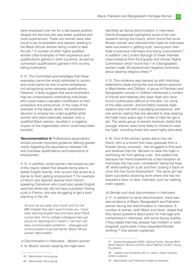were employed over her for a law-based position, despite the fact that she was better qualified and more experienced. These two women were later found to be incompetent and sacked, leading to the Black African woman being invited to take the job.<sup>25</sup> A number of other highly qualified women cited examples of their experience and qualifications gained in other countries, as well as conversion qualifications gained in this country, being overlooked.

4.12. The Committee acknowledges that these examples cannot be wholly attributed to racism, and could partly be due to some workplaces not recognising some overseas qualifications. However, it does suggest that some employers may be unnecessarily overlooking individuals who could make a valuable contribution to their workplace and productivity. In the case of the example of the lawyer above, the employers' decision to employ two under-qualified white women who were eventually sacked, over a qualified Black woman, resulted in a negative impact on the organisation which could have been avoided.

**Recommendation 6:** Professional associations should provide improved quidance offering greater clarity regarding the equivalency between UK and overseas qualifications and experience of employment.

4.13. In addition, some women interviewed as part of the inquiry stated that despite being able to speak English fluently, their accent had acted as a barrier to them getting employment.<sup>26</sup> For example a French and Spanish teacher from Frenchspeaking Cameroon who could also speak English, said that whilst she did not have a problem finding a job in France, she was struggling to get a post teaching in the UK:

*As soon as you open your mouth and it is not BBC English they don't want to know you. I have been learning English here and have done PGCE course here. All my college colleagues have got [a] job [in teaching] but I haven't. I am told I will have communication problems… language and communication is [a] real barrier.* (Black African woman, Manchester)

*c) Discrimination in interviews – Muslim women* 4.14. Muslim women wearing the hijab were

identified as facing discrimination in interviews. Zamila Bunglawala highlighted some of her own research during the inquiry, which found that some Muslim women who removed their hijab for interviews were successful in getting a job, having worn their hijab to previous interviews and being unsuccessful.<sup>27</sup> In addition, the London Borough of Tower Hamlets cited evidence from the Equality and Human Rights Commission which found that 1 in 5 Bangladeshi women under 35 experienced negative comments about wearing religious dress.<sup>28</sup>

4.15. This evidence was backed up with individual statements made during the oral evidence sessions in Manchester and Oldham. A group of Pakistani and Bangladeshi women in Oldham mentioned a number of friends and relatives who wear hijab who have found it particularly difficult to find jobs. For some of the older women, discrimination towards hijab wearers was met with a grudging acceptance, with one woman stating that she decided to stop wearing the hijab many years ago in order to help her get a job. The same group of women however stated that younger women were more likely to choose to wear the hijab, including those who were highly educated.

4.16. One of the women spoke about how her friend, who is a recent first class graduate from a Russell Group university, has struggled to find work and believes that her 'decision to wear the hijab is restricting her from getting a job'. She added that because her friend experiences a bad reception at interviews she has even considered 'taking the hijab off' while looking for a job and then 'putting it back on once she has found employment'. The same girl has been successful obtaining work where she has not required a face- to-face -interview, such as marking exam papers.

#### *d) Gender and dual discrimination in interviews*

4.17. In addition to racial discrimination, there was also evidence of Black, Bangladeshi and Pakistani women facing sex discrimination in interviews. A number of women, both Black and Asian, stated that they faced questions about plans for marriage and motherhood in interviews, with some facing hostility if they stated that they already had children or were pregnant, particularly if they requested flexible working.29 One woman explained:

<sup>25</sup> Manchester focus group

<sup>26</sup> Manchester focus group

<sup>27</sup> Zamila Bunglawala (2008), *Valuing Family, Valuing Work: British Muslim Women and the Labour Market*. London: Young Foundation.

<sup>28</sup> Kabeer and Ainsworth (2011), cited in Tower Hamlets written evidence

<sup>29</sup> Manchester and Tottenham evidence sessions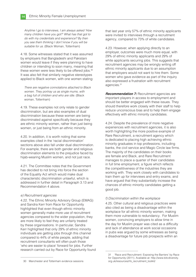*Anytime I go to interviews, I am always asked 'How many children have you got?' What has that got to do with my credentials and experience? By then you see them thinking I don't know if you will be suitable for us.* (Black Woman, Tottenham)

4.18. Some witnesses stated that it was assumed by employers that Bangladeshi and Pakistani women would leave if they were planning to have children or intending to soon marry, meaning that these women were less likely to be offered jobs.<sup>30</sup> It was also felt that similarly negative stereotypes applied to Black women, with one women stating:

*There are negative connotations attached to Black women. They portray us as single mums, with a bag full of children and who are idle.* (Black woman, Tottenham)

4.19. These examples not only relate to gender discrimination, but are also examples of dual discrimination because these women are being discriminated against specifically because they are ethnic minority women, rather than just being women, or just being from an ethnic minority.

4.20. In addition, it is worth noting that some examples cited in the 'racial discrimination' sections above also fall under dual discrimination. For example, there are both gender and religious discrimination elements to the prejudice faced by hijab-wearing Muslim women, and not just race.

4.21. The Committee notes that the Government has decided to not bring into force the section of the Equality Act which would make dual characteristic discrimination unlawful, which is addressed in further detail in Paragraph 3.13 and Recommendation 4 above.

#### *e) Recruitment agencies*

4.22. The Ethnic Minority Advisory Group (EMAG) and Sandra Kerr from Race for Opportunity highlighted that even though ethnic minority women generally make more use of recruitment agencies compared to the wider population, they are more likely to feel they are unfairly treated by these organisations. In particular, Sandra Kerr highlighted that only 29% of ethnic minority individuals are getting jobs through this channel compared to 44% of white people, adding that recruitment consultants will often push those 'who are easier to place' forward for jobs. Further research carried out by Race for Opportunity found that last year only 57% of ethnic minority applicants were invited to interviews through a recruitment agency, compared to 73% of white candidates.

4.23. However, when applying directly to an employer, outcomes were much more equal, with 29% of ethnic minority applicants and 29% of white applicants securing jobs. This suggests that recruitment agencies may be wrongly writing off ethnic minority applicants due to an assumption that employers would not want to hire them. Some women who gave evidence as part of the inquiry also expressed a frustration with recruitment agencies.31

**Recommendation 7:** Recruitment agencies are important players in access to employment and should be better engaged with these issues. They should therefore work closely with their staff to help reduce unconscious bias and to help them engage effectively with ethnic minority candidates.

4.24. Despite the prevalence of more negative experiences with recruitment agencies, it is also worth highlighting the more positive example of Rare Recruitment, a recruitment agency which is dedicated to placing high achieving ethnic minority graduates in top professions, including banks, the civil service and Magic Circle law firms. The majority of the candidates on their books are female and Black, and Rare Recruitment manages to place a quarter of their candidates in full time employment, a figure which reflects the competitiveness of the industries they are working with. They work closely with candidates to train them up for interviews and entry exams, and have argued that they substantially increase the chances of ethnic minority candidates getting a good job.

#### *f) Discrimination within the workplace*

4.25. Other cultural and religious practices were also cited as being a disadvantage within the workplace for all ethnic minority women, making them more vulnerable to redundancy. For Muslim women, convincing employers to allow time in the day for Muslim prayer was cited as a difficulty and lack of attendance at work social occasions in pubs was argued by some witnesses as being a disadvantage for future job prospects within an

<sup>31 &#</sup>x27;Race and Recruitment: Exposing the Barriers' by Race for Opportunity (2011). Available at: http://www.bitcdiversity. org.uk/resources/rfo\_recruitment\_toolkit/

<sup>30</sup> Manchester and Tottenham evidence sessions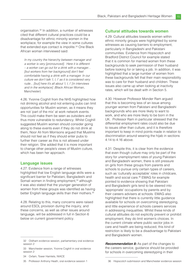organisation.32 In addition, a number of witnesses cited that different cultural practices could be a disadvantage for ethnic minority women in the workplace, for example the view in some cultures that extended eye contact is impolite.<sup>33</sup> One Black African woman interviewed said:

*In my country the hierarchy between manager and a worker is very [pronounced]. Here it is different – a worker can go out for a drink with a manager… [but workers from her background] don't feel comfortable having a drink with a manager. In our culture we don't talk 'I, I, I' as it is considered very rude... [but] here it's all about 'I, I, I' [in interviews and in the workplace]. (*Black African Woman, Manchester)

4.26. Yvonne Coghill from the NHS highlighted how not drinking alcohol and not entering pubs can limit opportunities for Muslim women, as it means they are not 'part of the mix' at work network events. This could make them be seen as outsiders and thus more vulnerable to redundancy. Whilst Coghill suggested Muslim women should consider going along to these events even if they do not drink at them, Noor Ali from Morrisons argued that Muslims should not feel as if they should enter pubs to further their career as this is not allowed under their religion. She added that it is more important to change other people's views of Muslim culture, which has been her approach.

#### **Language issues**

4.27. Evidence from a range of witnesses highlighted that low English language skills were a significant barrier for Pakistani, Bangladeshi and Somali women in finding employment,<sup>34</sup> although it was also stated that the younger generation of women from these groups was identified as having better English language skills than their mothers.35

4.28. Relating to this, many concerns were raised around ESOL provision during the inquiry, and these concerns, as well as other issues around language, will be addressed in full in Section 6 below on current government policy.

34 Oxfam, Tower Hamlets, NIACE

#### **Cultural attitudes towards women**

4.29. Cultural attitudes towards women within ethnic minority groups were highlighted by some witnesses as causing barriers to employment, particularly in Bangladeshi and Pakistani communities. Evidence from Hopscotch and Bradford District Council for example stated that it is common for married women from these backgrounds to seek permission of their husband before looking for or taking a job. In addition, it was highlighted that a large number of women from these backgrounds felt that their main responsibility was to care for their husband and children. These issues also came up when looking at inactivity rates, which will be dealt with in Section 5.

4.30. However Professor Monder Ram argued that this is becoming less of an issue among younger women from Pakistani and Bangladeshi backgrounds who are more likely to want to work, and who are more likely to be born in the UK. Professor Ram in particular stressed that the differential employment rates could also be due to issues other than culture, and it is therefore important to keep in mind points made in relation to discrimination around wearing the hijab in sections 4.14 to 4.16 above.

4.31. Despite this, it is clear from the evidence that even though culture may only be part of the story for unemployment rates of young Pakistani and Bangladeshi women, there is still pressure on girls from these groups from parents and schools to pursue only certain types of careers, such as 'culturally acceptable' roles in childcare, health and social care.<sup>36</sup> EMAG for example pointed to evidence showing that Pakistani and Bangladeshi girls tend to be steered into 'appropriate' occupations by parents and by their careers advisers at schools. EMAG also highlighted that there is currently little guidance available for schools on overcoming stereotyping, and little experience of schools careers services in addressing inequalities. Whilst these kinds of cultural attitudes do not explicitly prevent or prohibit employment, they do limit women's choices. In the current climate where public sector jobs in care and health are being reduced, this kind of restriction is likely to be a disadvantage to Pakistani and Bangladeshi women.

**Recommendation 8:** As part of the changes to the careers service, guidance should be provided for schools in overcoming stereotyping in their

<sup>32</sup> Oldham evidence session, parliamentary oral evidence session 2

<sup>33</sup> Manchester session, Yvonne Coghill in oral evidence session 2

<sup>35</sup> Professor Anthony Heath, oral evidence session 1

<sup>36</sup> Hopscotch submission and Manchester evidence session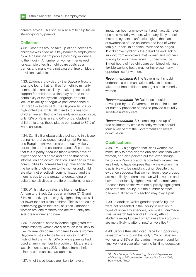careers advice. This should also aim to help tackle stereotyping by parents.

#### **Childcare**

4.32. Concerns around take up of and access to childcare was cited as a key barrier to employment by a large number of people providing evidence to the inquiry. A number of women interviewed for example cited high childcare costs as a barrier, and many were not aware of free childcare provision available.

4.33. Evidence provided by the Daycare Trust for example found that families from ethnic minority communities are less likely to take up tax credit support for childcare, which may be due to the complexity of the system, language barriers, lack of flexibility or negative past experience of tax credit over-payment. The Daycare Trust also highlighted that whilst all three to four year-old children are entitled to a free early education place, only 72% of Pakistani and 64% of Bangladeshi children take up these places compared to 89% of white children.

4.34. Zamilia Bunglawala also pointed to this issue during her oral evidence, arguing that Pakistani and Bangladeshi women are particularly likely not to take up free childcare places. She stressed that this is partly because these women have no experience of childcare and added that better information and communication is needed in these communities to increase take up. She added that the benefits of childcare to the mother and child are often not effectively communicated, and that there needs to be a greater understanding of cultural sensitivities and different patterns of care.

4.35. Whilst take up rates are higher for Black African and Black Caribbean children (71% and 74% respectively) are slightly higher, they are still far lower than for white children. This is particularly concerning given that 59% of Black Caribbean women are lone mothers and are frequently the sole breadwinner and carer.

4.36. In addition, some evidence highlighted that ethnic minority women are also much less likely to use informal childcare compared to white women. Daycare Trust evidence from a survey in 2011 highlighted that whilst 36% of white parents had used a family member to provide childcare in the last six months, only 23% of those from ethnic minority communities had done so.

impact on both unemployment and inactivity rates of ethnic minority women, with many likely to feel that employment is unfeasible given their lack of awareness of free childcare and lack of wider family support. In addition, evidence on pages 12-13 above highlights the prejudice and lack of support from employers that women and mothers looking for work have faced. Furthermore, the limited hours of free childcare combined with less flexible working hours may further close many opportunities for women.

**Recommendation 9:** The Government should undertake a communications drive to increase take-up of free childcare amongst ethnic minority women.

**Recommendation 10:** Guidance should be developed by the Government or the third sector for nursery providers on how to provide culturally sensitive nursery care.

**Recommendation 11:** Increasing take-up of free childcare by ethnic minority women should form a key part of the Government's childcare commission.

#### **Qualifi cations**

4.38. EMAG highlighted that Black women are more likely to have degree qualifications than white women, and also pointed out that even though historically Pakistani and Bangladeshi women are less likely to have degrees than white women, this gap is likely to be rapidly closing. Despite this, evidence suggests that women from these groups are more likely to earn less than white women and have proportionally higher levels of unemployment. Reasons behind this were not explicitly highlighted as part of the inquiry, but the number of other barriers outlined in this section may play a part.

4.39. In addition, whilst gender specific figures were not presented in the inquiry in relation to types of university attended, previous Runnymede Trust research has found all minority ethnic students except those from Chinese backgrounds are more likely to attend 'new' universities.37

4.40. Sandra Kerr also cited Race for Opportunity research which found that only 37% of Pakistani women and 35% of Bangladeshi women found full time work one year after leaving full time education

<sup>37</sup> *Not Enough Understanding: Student Experiences of Diversity at UK Universities*, Jessica Mai Sims (2008, Runnymede Trust)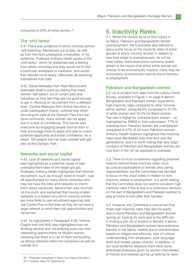compared to 54% of white women.<sup>38</sup>

#### **The 'chill factor'**

4.41 There was evidence of ethnic minority women 'self-selecting' themselves out of jobs, as well as from the more prestigious universities. In his evidence, Professor Anthony Heath spoke of the 'chill factor', which he explained was a feeling from ethnic minorities that they would not fit into a particular workplace or institution, and would then decide not to apply, effectively de-selecting themselves from jobs.

4.42. Daniel Mokades from Rare Recruitment reiterated Heath's point by stating that many women 'self-select' out of certain jobs and industries as they feel they are not good enough to get in. Working on recruitment from a different level, Cynthia Masiyiwa from Active Horizons, a youth participation charity, outlined how when recruiting for jobs at the Olympic Park from the local community, many women did not apply due to a lack of confidence. This barrier was overcome by engaging people door-to-door to help encourage them to apply and also to coach potential applicants and boost confidence. As a result, 100 people that her team worked with got jobs at the Olympic Park.

#### **Networks and social capital**

4.43. Lack of networks and social capital was highlighted as a potential cause of high unemployment rates of the target groups. Professor Anthony Heath highlighted that informal recruitment, such as through 'word of mouth', cuts off opportunities for many ethnic minorities who may not have the links and networks to inform them about vacancies. Sandra Kerr also touched on this point, and explained that having smaller networks is a reason why ethnic minority women are more likely to use recruitment agencies and Job Centre Plus to find jobs as they do not have a large network to send them job opportunities and vacancies.

4.44. As highlighted in Paragraph 4.26, Yvonne Coghill from the NHS also highlighted how not drinking alcohol and not entering pubs can limit networking opportunities for Muslim women, meaning that there is a risk of them not building up strong networks within the workplace as well as outside of it.

## **5. Inactivity Rates**

5.1. Whilst the central focus of this inquiry is on Black, Pakistani and Bangladeshi female unemployment, the Committee also wanted to place some focus on the inactivity rates of some groups of ethnic minority women in relation to how they relate to unemployment. As will be clear below, there were some concerns raised ahead of the inquiry that whilst some women will choose to be economically inactive, many may be involuntarily economically inactive due to barriers to employment.

#### **Pakistani and Bangladeshi women**

5.2. As is evident from data from the Labour Force Survey, available in Figure 1 on page 8 above, Bangladeshi and Pakistani women experience high inactivity rates compared to other minority ethnic women, being 63.6% compared to 27.5% of white women and 32.4% for Black women. The rate is higher for overseas-born women – as highlighted by EMAG in their submission, 77% of overseas born Pakistani women are unemployed compared to 57% of UK born Pakistani women. Anthony Health however highlighted that inactivity rates have decreased over time and over the generations, and it is worth noting that very large numbers of Pakistani and Bangladeshi women are now born in the UK as opposed to overseas.

5.3. There is much to examine regarding potential reasons behind these inactivity rates, such as cultural expectations of women and caring responsibilities, but the Committee has decided to focus on this issue solely in relation to how inactivity relates to employment. It is worth stating that the Committee does not want to condemn high inactivity rates if this is due to a conscious decision on the part of Bangladeshi and Pakistani women to stay at home to look after their families.

5.4. However, the Committee is concerned that these high inactivity rates may also be partly due to some Pakistani and Bangladeshi women 'giving up' looking for work due to the difficulty in finding a job. As is evident in Section 4 above, Pakistani and Bangladeshi women face extensive barriers in the labour market due to discrimination based on religion and ethnicity, lack of cultural understanding from employers, poor language skills and limited career choices. In addition, in our local evidence sessions there were some anecdotal examples given by women interviewed of friends and relatives giving up looking for work

<sup>38</sup> Originally highlighted in Race into Higher Education: 2011 Update, Race for Opportunity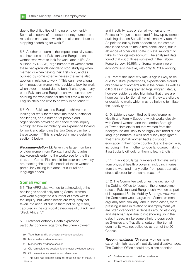due to the difficulties of finding employment.<sup>39</sup> Some also spoke of the despondency numerous rejections can cause, which can also contribute to stopping searching for work.<sup>40</sup>

5.5. Another concern is the impact inactivity rates can have on older Pakistani and Bangladeshi women who want to look for work later in life. As outlined by NIACE, large numbers of women from these backgrounds decide to stop studying when married or when having their first child, and as outlined by some other witnesses the same also applies in relation to work.41 This can have a long term impact on women who decide to look for work when older – indeed due to benefit changes, many older Pakistani and Bangladeshi women are now entering the workplace for the first time with poor English skills and little to no work experience.42

5.6. Older Pakistani and Bangladeshi women looking for work for the first time face substantial challenges, and a number of people and organisations providing evidence to this inquiry highlighted how intimidating an experience looking for work and attending the Job Centre can be for these women.43 This is explored in more detail in section 6 below.

*Recommendation 12:* Given the larger numbers of older women from Pakistani and Bangladeshi backgrounds entering the workplace for the first time, Job Centre Plus should be clear on how they are meeting the specific needs of these women, particularly taking into account cultural and language needs.

#### **Somali women**

5.7. The APPG also wanted to acknowledge the challenges specifically facing Somali women, who were highlighted a number of times within the inquiry, but whose needs are frequently not taken into account due to them not being visibly captured in the statistical categories of ;'Black' and 'Black African'.44

5.8. Professor Anthony Heath expressed particular concern regarding the unemployment

- 41 Manchester evidence session
- 42 Oldham evidence session, Manchester evidence session
- 43 Oldham evidence session and elsewhere

and inactivity rates of Somali women and, with Professor Yaojun Li, submitted follow-up evidence outlining data on Somali female inactivity rates.45 As pointed out by both academics, the sample size is too small to make firm conclusions, but in absence of other clear data it is still important to take its findings into account. The analysed data found that out of those surveyed in the Labour Force Survey, 86.96% of Somali women were economically inactive, with only 10.23% working.

5.9. Part of this inactivity rate is again likely to be due to cultural preferences, expectations around childcare and women's role in the home, as well as difficulties in being granted legal migrant status, however evidence also highlights that there are huge barriers for Somali women if they are eligible or decide to work, which may be helping to inflate the inactivity rate.

5.10. Evidence submitted by Black Women's Health and Family Support, which works closely with Somali women, and the London Borough of Tower Hamlets found that women from this background are likely to be highly excluded due to language barriers. It was particularly highlighted that many Somali women had a disrupted education in their home country due to the civil war, including in their mother tongue language, making it particularly difficult for them to learn English.

5.11. In addition, large numbers of Somalis suffer from physical health problems, including injuries from the war, and many suffer from post-traumatic stress disorder for the same reason.<sup>46</sup>

5.12. The Committee welcomes the decision of the Cabinet Office to focus on the unemployment rates of Pakistani and Bangladeshi women as part of its updated Social Mobility Strategy. However, the Committee would argue that Somali women arguably face similarly, and in some cases, more pressing issues in relation to unemployment yet are often overlooked in debates around ethnicity and disadvantage due to not showing up in the data. Indeed, unlike some ethnic groups such as Gypsies and Travellers, data on the Somali community was not collected as part of the 2011 Census.

*Recommendation 13:* Somali women have extremely high rates of inactivity and disadvantage. The Cabinet Office should pay close attention

46 Tower Hamlets submission

<sup>39</sup> Tottenham and Manchester evidence sessions

<sup>40</sup> Manchester evidence session

<sup>44</sup> This data has also not been collected as part of the 2011 **Census** 

<sup>45</sup> Evidence session 1, Written evidence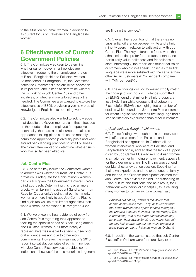to the situation of Somali women in addition to its current focus on Pakistani and Bangladeshi women.

## **6 Effectiveness of Current Government Policies**

6.1. The Committee was keen to determine whether current government policies are effective in reducing the unemployment rates of Black, Bangladeshi and Pakistani women. As mentioned in Paragraph 2.6, the Committee notes the Government's 'colour-blind' approach in its policies, and is keen to determine whether this is working in Job Centre Plus and other initiatives, or whether more tailored support is needed. The Committee also wanted to explore the effectiveness of ESOL provision given how crucial knowledge of English is to obtaining work.

6.2. The Committee also wanted to acknowledge that despite the Government's claim that it focuses on the needs of the unemployed 'irrespective of ethnicity' there are a small number of tailored approaches taking place such as the recently completed apprenticeship diversity pilots and work around bank lending practices to small business. The Committee wanted to determine whether such work has so far been effective.

#### **Job Centre Plus**

6.3. One of the key issues the Committee wanted to address was whether current Job Centre Plus provision is adequate for ethnic minority women, particularly given the Government's overall colour blind approach. Determining this is even more crucial when taking into account Sandra Kerr from Race for Opportunity's point that ethnic minority women are more likely to use Job Centre Plus to find a job (as well as recruitment agencies) than white women, as mentioned in Paragraph 4.22.

6.4. We were keen to hear evidence directly from Job Centre Plus regarding their approach to tackling the specific needs of Black, Bangladeshi and Pakistani women, but unfortunately a representative was unable to attend our second oral evidence session due to other work commitments. However, the organisation's 2010 report into satisfaction rates of ethnic minorities with Job Centre Plus services, provides some indication of how useful ethnic minorities in general are finding the service.<sup>47</sup>

6.5. Overall, the report found that there was no substantial difference between white and ethnic minority users in relation to satisfaction with Job Centre Plus. The key differences found were that ethnic minorities prefer face-to-face contact and particularly value politeness and friendliness of staff. Interestingly, the report also found that Asian customers who did not speak English as their first language were more satisfied with the service than other Asian customers (87% per cent compared with  $74\%$  per cent<sup>48</sup>).

6.6. These findings did not, however, wholly match the findings of our inquiry. Evidence submitted by EMAG found that minority ethnic groups are less likely than white groups to find Jobcentre Plus helpful. EMAG also highlighted a number of studies which found that Jobcentre Plus customers for whom English was not their first language had a less satisfactory experience than other customers.

#### *a) Pakistani and Bangladeshi women*

6.7. These findings were echoed in our interviews with affected women from Pakistani and Bangladeshi backgrounds. In Oldham all the women interviewed, who were of Pakistani and Bangladeshi origin, agreed that the lack of support given by Job Centre Plus advisers to Asian women is a major barrier to finding employment, especially for the older generation. The finding was echoed in our Manchester evidence session. Speaking from their own experience and the experience of family and friends, the Oldham participants claimed that Job Centre Plus advisers lacked understanding of Asian culture and traditions and as a result, their behaviour was 'harsh' or 'unhelpful', thus causing many women to turn away. One woman said:

*Advisers are not fully aware of the issues that certain communities face. They fail to understand that some women need spoon feeding throughout the process because they lack the knowledge. This is particularly true of the older generation as they have been housewives for 20 to 30 years. Not only do they lack knowledge but the whole process is really scary for them.* (Pakistani woman, Oldham)

6.8. In addition, the women stated that Job Centre Plus staff in Oldham were far more likely to be

<sup>47</sup> Job Centre Plus: http://research.dwp.gov.uk/asd/asd5/ rports2009-2010/rrep717.pdf

<sup>48</sup> Job Centre Plus: http://research.dwp.gov.uk/asd/asd5/ rports2009-2010/rrep717.pdf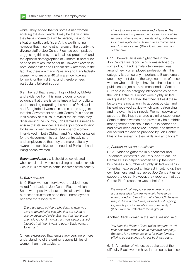white. They added that for some Asian women entering the Job Centre, it may be the first time they have spoken to a white person, making the situation particularly 'scary'. It is worth noting however that in some other areas of the county the diverse staff of Job Centre Plus has been praised, suggesting this may be a localised problem,<sup>49</sup> and the specific demographics of Oldham in particular need to be taken into account. However women in both Manchester and Oldham drew attention to the fact that there are many Pakistani and Bangladeshi women who are over 40 who are now looking for work for the first time, and therefore need particularly tailored support.

6.9. The fact that research highlighted by EMAG and evidence from this inquiry does uncover evidence that there is sometimes a lack of cultural understanding regarding the needs of Pakistani and Bangladeshi women in some areas suggests that the Government and Job Centre Plus need to look closely at this issue. Whilst the situation may differ around the country, Job Centre Plus needs to ensure that its services are not a 'postcode lottery' for Asian women. Indeed, a number of women interviewed in both Oldham and Manchester called for the Government to train job centre advisers and employers so that they are more culturally aware and sensitive to the needs of Pakistani and Bangladeshi women.

**Recommendation 14:** It should be considered whether cultural awareness training is needed for Job Centre Plus advisers in particular areas of the country.

#### *b) Black women*

6.10. Black women interviewed provided more mixed feedback on Job Centre Plus provision. Some were positive about the initial service, but expressed frustration once their unemployment became more long term:

*There are good advisers who listen to what you want to do and offer you jobs that are suited to your interests and skills. But now that I have been unemployed for 3 months I am now being pushed into jobs that I don't want to do....* (Black woman, Tottenham)

Others expressed that female advisers were more understanding of the caring responsibilities of women than male advisors:

*I have two advisers – a male and a female. The male adviser just pushes me into any jobs, but the female adviser is more understanding of the need*  to find me a job that suits my role as mother and *wish to start a career.* (Black Caribbean woman, Tottenham)

6.11. However an issue highlighted in the Job Centre Plus report, which was echoed by some of our Black female interviewees, was around newly unemployed professionals. This category is particularly important to Black female unemployment due to the large numbers of these women who are likely to have lost their jobs under public sector job cuts, as mentioned in Section 3. People in this category interviewed as part of the Job Centre Plus report were highly skilled and qualified but stated that they felt as if these factors were not taken into account by staff and instead received advice which was 'patronising' and irrelevant to their needs. Women spoken to as part of this inquiry shared a similar experience. Some of these women had previously held middlemanagement positions in the public sector and had never been out of work before, and therefore did not find the advice provided by Job Centre Plus to be relevant to their skills and ambitions.<sup>50</sup>

#### *c) Support to set up a business*

6.12. Evidence gathered in Manchester and Tottenham identified a lack of support from Job Centre Plus in helping women set up their own businesses. A number of highly skilled women in Tottenham expressed an interest in setting up their own business, and had asked Job Centre Plus for support to do so. However, they reported that Job Centre Plus's response was unhelpful:

*We were told at the job centre in order to put a business idea forward we would have to be unemployed for 6 months… why [should] I have to wait, if I have a good idea, especially if it is going to provide jobs for people in my community?'*  (Black woman, Tottenham focus group)

Another Black woman in the same session said:

*You have the Prince's Trust, which supports 16–25 year olds who want to set up their own company. But there is no similar scheme for older females, o*ff *ering us assistance with our business plans.*

6.13. A number of witnesses spoke about the difficulty Black women have in particular, but also

<sup>49</sup> Quilliam submission

<sup>50</sup> Tottenham evidence session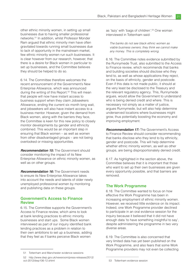other ethnic minority women, in setting up small businesses due to having smaller professional networks.51 In addition, whilst Professor Monder Ram argued that ethnic minority men have often gravitated towards running small businesses due to lack of opportunity in the mainstream market, few ethnic minority women run such businesses. It is clear however from our research, however, that there is a desire for Black women in particular to set up businesses, and the Committee believes they should be helped to do so.

6.14. The Committee therefore welcomes the recent announcement of the Government's New Enterprise Allowance, which was announced during the writing of this Report.<sup>52</sup> This will mean that people will now have instant access to business support when they claim Jobseekers Allowance, ending the current six month long wait, and jobseekers will also have instant access to a business mentor. However, given the demand from Black women, along with the barriers they face, the Committee is keen for this new policy to closely monitor developments by gender and ethnicity combined. This would be an important step in ensuring that Black women – as well as women from other disadvantaged groups – are not being overlooked or missing opportunities.

**Recommendation 15:** The Government should consider monitoring the impact of its New Enterprise Allowance on ethnic minority women, as well as on other groups.

*Recommendation 16:* The Government needs to ensure its New Enterprise Allowance takes into account the needs and talents of older newly unemployed professional women by monitoring and publishing data on these groups.

#### **Government's Access to Finance Review**

6.15. The Committee supports the Government's Access to Finance review, which aims to look at bank lending practices to ethnic minority businesses and start ups. Some Black women interviewed as part of our inquiry identified bank lending practices as a problem in relation to their own ambitions to set up a business, adding that they feel as if banks perceive Black women

as 'lazy' with 'bags of children'.53 One woman interviewed in Tottenham said:

*The banks do not see black ethnic women as viable business owners; they think we cannot make any money. This is completely wrong.*

6.16. The Committee notes evidence submitted by the Runnymede Trust, also submitted to the Access to Finance review, which recommends that banks and building societies should disclose who they lend to, as well as whose applications they reject, on the basis of ethnicity, gender and postcode. Even if this data is not made public, it should at the very least be disclosed to the Treasury and the relevant regulatory agency. This, Runnymede argues, would allow the Government to understand who is being denied credit and where. This is necessary not simply as a matter of justice, argues Runnymede, but will also help determine underserved locations where businesses might grow, thus potentially boosting the economy and improving employment.

**Recommendation 17:** The Government's Access to Finance Review should consider recommending that banks disclose who they lend to by ethnicity, gender and postcode. This will help determine whether ethnic minority women, as well as other groups, are being disproportionately denied credit.

6.17. As highlighted in the section above, the Committee believes that it is important that those who want to set up their own businesses are given every opportunity possible, and that barriers are removed.

#### **The Work Programme**

6.18. The Committee wanted to focus on how effective the Work Programme has been in increasing employment of ethnic minority women. However, we received little evidence on its impact. Indeed, one Work Programme provider declined to participate in an oral evidence session for the inquiry because it believed that it did not have enough data 'to have something insightful to say', despite administering the programme in two very diverse areas.

6.19. The Committee is also concerned that very limited data has yet been published on the Work Programme, and also fears that some Work Programme providers may not even be collecting

<sup>51</sup> Tottenham and Manchester evidence sessions

<sup>52</sup> http://www.dwp.gov.uk/newsroom/press-releases/2012/ oct-2012/dwp106-12.shtml

<sup>53</sup> Tottenham evidence session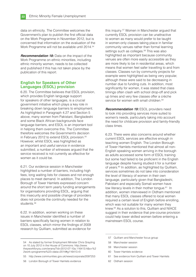data on ethnicity. The Committee welcomes the Government's plan to publish the first official data on the Work Programme in November 2012, but is concerned that information on the evaluation of the Work Programme will not be available until 2014.<sup>54</sup>

*Recommendation 18:* Data on the impact of the Work Programme on ethnic minorities, including ethnic minority women, needs to be collected and published if this has not taken place by the publication of this report.

#### **English for Speakers of Other Languages (ESOL) provision**

6.20. The Committee believes that ESOL provision, which provides English language support for speakers of other languages, is a crucial government initiative which plays a key role in breaking down language barriers to employment. As highlighted in Paragraph 4.27 and Section 5 above, many women from Pakistani, Bangladeshi and some Black African backgrounds face language barriers, and ESOL is an important tool in helping them overcome this. The Committee therefore welcomes the Government's decision in February 2012 to extend ESOL provision.<sup>55</sup> However, whilst ESOL was highlighted as an important and useful service in evidence submitted, a number of witnesses arqued that the service received is not currently as effective for women as it could be.

6.21. Our evidence session in Manchester highlighted a number of barriers, including high fees, long waiting lists for classes and not enough places to meet demand. In addition, The London Borough of Tower Hamlets expressed concern around the short term yearly funding arrangements for organisations providing ESOL, arguing that this insecurity and possible change of providers does not provide the continuity needed for the students.<sup>56</sup>

6.22. In addition, women working on these issues in Manchester identified a number of barriers specifically facing women in relation to ESOL classes, which mirror the findings of 2009 research by Quilliam, submitted as evidence for

this inquiry.57 Women in Manchester argued that currently ESOL provision can be unattractive to women as many would prefer to be taught in women-only classes taking place in familiar community venues rather than formal learning settings such as colleges.<sup>58</sup> This was also highlighted as important because community venues are often more easily accessible as they are more likely to be in residential areas, which means that women feel safer travelling to and from classes. Classes run by community projects for example were highlighted as being very popular, although these were said to be decreasing in number due to funding cuts. In addition, most significantly for women, it was stated that class timings often clash with school drop-off and pick up times and very few classes offer a crèche service for women with small children.<sup>59</sup>

**Recommendation 19: ESOL providers need** to look into providing services more suited to women's needs, particularly taking into account the need for childcare provision and family-friendly class times.

6.23. There were also concerns around whether current ESOL services are effective enough in teaching women English. The London Borough of Tower Hamlets mentioned that almost all non-English speaking women arriving in the borough as adults accessed some form of ESOL training but some had failed to be proficient in the English language despite having studied it for a number of years.<sup>60</sup> In addition, as highlighted by Quilliam, services sometimes do not take into consideration the level of literacy of women in their own language, particularly given that Bangladeshi, Pakistani and especially Somali women have low literacy levels in their mother tongue.<sup>61</sup> In addition, women interviewed in Oldham mentioned that many ESOL classes offered to local women required a certain level of English before enrolling, which was not suitable for many women they knew.62 As a solution to this, Quilliam and NIACE suggest in their evidence that pre-course provision could help lower skilled women before entering a mainstream ESOL course.

- 57 Quilliam and Manchester focus group
- 58 Manchester session

- 60 Tower Hamlets evidence
- 61 See evidence from Quilliam and Tower Hamlets
- 62 Oldham session

<sup>54</sup> As stated by former Employment Minister Chris Grayling on 10 July 2012 in the House of Commons: http://www. theyworkforyou.com/wrans/?id=2012-07-10a.116413.h&s=%2 2work+programme%22+data+2014#g116413.r0

<sup>55</sup> http://www.communities.gov.uk/news/corporate/2097253

<sup>56</sup> London Borough of Tower Hamlets evidence

<sup>59</sup> Manchester session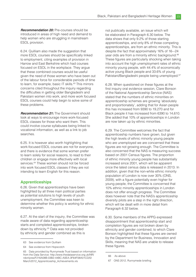**Recommendation 20: Pre-courses should be** introduced in areas of high need and demand to help women who are struggling in mainstream ESOL provision.

6.24. Quilliam also made the suggestion that more ESOL courses should be specifically linked to employment, citing examples of provision in Harrow and East Berkshire which had courses focused on ESOL in the workplace. They argue that these combined courses would be useful given the need of those women who have been out of the labour force for considerable periods of time to learn, for example, basic IT skills.<sup>63</sup> This mirrors concerns cited throughout the inquiry regarding the difficulties in getting older Bangladeshi and Pakistani women into work, and more work focused ESOL courses could help begin to solve some of these problems.

*Recommendation 21:* The Government should look at ways to encourage more work-focused ESOL classes for those who want them. This could involve course syllabuses being linked to vocational information, as well as a link to job searches.

6.25. It is however also worth highlighting that work-focused ESOL courses are not for everyone, and there is evidence that some women prefer to learn solely for social reasons, to read to their children or engage more effectively with local services.<sup>64</sup> These women should not be forced into work focused ESOL classes if they are not intending to learn English for this reason.

#### **Apprenticeships**

6.26. Given that apprenticeships have been highlighted by all three main political parties as potential solutions to high levels of youth unemployment, the Committee was keen to determine whether this policy is working for ethnic minority women.

6.27. At the start of the inquiry, the Committee was made aware of data regarding apprenticeship starts and completed apprenticeships, broken down by ethnicity.<sup>65</sup> Data was not provided by ethnicity and gender combined as this is

not publically available, an issue which will be elaborated in Paragraph 6.30 below. The data shows that only 9.2% of those starting apprenticeships, and only 8% of those competing apprenticeships, are from an ethnic minority. This is despite the fact that approximately 16% of 16–-24 year olds are from a minority ethnic background.<sup>66</sup> These figures are particularly shocking when taking into account the high unemployment rates of ethnic minority young people, with 44.4% of economically active young Black people and 33.6% of young Pakistani/Bangladeshi people being unemployed.<sup>67</sup>

6.28. When questioned on these figures at the first inquiry oral evidence session, Clare Bonson of the National Apprenticeship Service (NAS) stated that the numbers of ethnic minorities on apprenticeship schemes are growing 'absolutely and proportionately', adding that for Asian people this has increased from 9390 to 19,270 and for Black people it has increased from 6390 to 14,610. She added that 10% of apprenticeships in London are now taken up by ethnic minorities.

6.29. The Committee welcomes the fact that apprenticeship numbers have grown, but given the high levels of ethnic minority young people who are unemployed we are concerned that these figures are not growing enough. The Committee is also concerned that the NAS is measuring success based on 2001 Census figures. The proportion of ethnic minority young people has substantially increased since 2001, which will be apparent once the latest census data is released in 2013. In addition, given that the non-white ethnic minority population of London is now over 30% (ONS, 2009), with a figure potentially even higher for young people, the Committee is concerned that 10% ethnic minority apprenticeships in London does not offer enough progress. The Committee does however note that the NAS's apprenticeship diversity pilots are a step in the right direction, which will be dealt with in more detail from Paragraph 6.32 below.

6.30. Some members of the APPG expressed disappointment that apprenticeship start and completion figures are not broken down by ethnicity and gender combined, to which Clare Bonson highlighted that these figures are owned by the Department for Business, Innovation and Skills, meaning that NAS are unable to release these figures.

<sup>63</sup> See evidence from Quilliam

<sup>64</sup> See evidence from Hopscotch

<sup>65</sup> Data provided by Runnymede Trust based on information from the Data Service: http://www.thedataservice.org.uk/NR/ rdonlyres/F216A08B-03B2-44BC-A0EA-3F64F08A01CD/0/ March2012\_Apprenticeship\_Achievements.xls

<sup>66</sup> As above

<sup>67</sup> ONS 2012, Runnymede briefing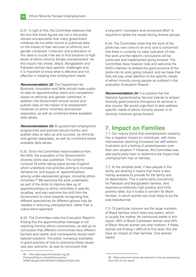6.31. In light of this, the Committee believes that the fact that these figures are not in the public domain encapsulates how many government initiatives do not either record or publicise data on the impact of their services on ethnicity and gender combined. Collection and publication of this data is crucial if we are to find solutions to high levels of ethnic minority female unemployment. As this inquiry has shown, Black, Bangladeshi and Pakistani women face specific challenges and it is important to know what is effective and not effective in meeting their employment needs.

*Recommendation 22:* The Department for Business, Innovation and Skills should make public its data on apprenticeship starts and completions based on ethnicity and gender combined. In addition, the Government should record and publish data on the impact of its employment initiatives on ethnic minorities and women separately, as well as combined where available data allows.

**Recommendation 23:** All government employment programmes and policies should monitor and publish data on take-up and success, by ethnicity and gender separately, as well as combined where available data allows.

6.32. Since the Committee heard evidence from the NAS, the evaluation of the Government's diversity pilots was published. This scheme involved 16 pilots taking place across England which undertook trial activities aiming to increase demand for, and supply of, apprenticeships among under-represented groups, including ethnic minorities.68 We welcome the work undertaken as part of the pilots to improve take up of apprenticeships by ethnic minorities in specific localities, and also welcome the shift from the Government to move towards recognising that different approaches for different groups may be needed in reducing unemployment, rather than a colour-blind approach.

6.33. The Committee notes the Evaluation Report's finding that the apprenticeship message is not reaching minority ethnic communities, as well as its conclusion that different communities face different barriers and needs, and consequently would need tailored solutions. The pilots' numerous examples of good practice of how to overcome these issues was also welcome, as was its conclusion that

68 http://www.apprenticeships.org.uk/ Partners/Policy/~/media/Documents/

NASEvaluationofDiAPilotsFinalReport%202.ashx

a long term 'consistent and concerted effort' is required to tackle the issues facing diverse groups.

6.34. The Committee notes that the work of the pilots has now come to an end, and is concerned that there is currently no clear indication of how this work and the report's conclusions will be continued and implemented going forward. The Committee does however note and welcome the NAS's intention to embed the good practice of the pilots into its work going forward, and we hope that they will pay close attention to the specific needs of ethnic minority young people as outlined in the evaluation Evaluation Rreport.

**Recommendation 24:** It is positive that the National Apprenticeship Service intends to embed diversity good practice throughout its services in due course. We would urge them to also address specific needs of ethnic minority women in its diversity initiatives going forward.

## **7. Impact on Families**

7.1. Our inquiry found that unemployment certainly has a negative impact on individuals, with many interviewees reporting increased low self esteem, frustration and a feeling of powerlessness over their own situation.<sup>69</sup> However, the Committee was also particularly keen to determine the impact that unemployment has on families.

7.2. At the simplest level, if less people in the family are working it means that there is less money available to provide for the family and its dependants. This is particularly concerning for Pakistani and Bangladeshi families, who experience extremely high poverty and child poverty rates, but it is also a concern for Black families, in which women are more likely to be the sole breadwinner.

7.3. Of particular concern are the large numbers of Black families which have one parent, which is usually the mother. As mentioned earlier in this report, 59% of Black Caribbean women and 43% of Black African women are lone mothers. If these women are finding it difficult to find work, this will have an impact on their families. One woman stated:

<sup>69</sup> More personal stories are featured in the accompanying short film to this report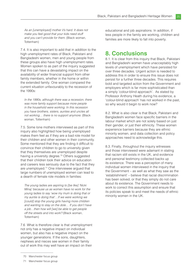*As an [unemployed] mother it's hard. It does not make you feel good that your kids need stu*ff *and you can't provide for them.* (Black woman, Tottenham)

7.4. It is also important to add that in addition to the high unemployment rates of Black, Pakistani and Bangladeshi women, men and young people from these groups also have high unemployment rates. Women spoken to as part of the inquiry suggested that this can have a devastating impact on the availability of wider financial support from other family members, whether in the home or within the extended family. One woman compared the current situation unfavourably to the recession of the 1990s:

*In the 1990s, although there was a recession, there was more family support because more people in the household were working. In this recession you have brothers, sisters, aunties and uncles all not working… there is no support anymore.* (Black woman, Tottenham)

7.5. Some lone mothers interviewed as part of this inquiry also highlighted how being unemployed makes them feel as if they are a bad role model for their children and other women in their community. Some mentioned that they are finding it difficult to convince their children to go to university given that they themselves are unemployed despite having a university degree.<sup>70</sup> Others suggested that their children took their advice on education and careers less seriously due to the fact that they are unemployed.71 One interviewee argued that large numbers of unemployed women can lead to a dearth of female role models in families:

*The young ladies are aspiring to [be like] 'Nicki Minaj' because us as women have no work for the young ladies to say 'wow my mum is doing that or my auntie is doing that'…If we were working we [could] stop the young girls having more children and wanting to stay on the dole… If you don't have a job…then how will [we] be able to get people o*ff *the streets and into work?* (Black woman, Tottenham)

7.6 What is therefore clear is that unemployment not only has a negative impact on individual women, but also has a negative impact on the younger generations. If the sons, daughters, nephews and nieces see women in their family out of work this may well have an impact on their

educational and job aspirations. In addition, if less people in the family are working, children and families are more likely to fall into poverty.

## **8. Conclusions**

8.1. It is clear from this inquiry that Black, Pakistani and Bangladeshi women have unacceptably high levels of unemployment which have persisted for over three decades. Urgent action is needed to address this in order to ensure this issue does not persist for a further three decades. This requires bold and targeted action from the Government and employers which is far more sophisticated than a simply 'colour-blind approach'. As stated by Professor Anthony Heath during his evidence, a 'colour-blind approach' has not worked in the past, so why would it begin to work now?

8.2. What is also clear is that Black, Pakistani and Bangladeshi women face specific barriers in the labour market which are not solely based on just their gender, or just their ethnicity. These women experience barriers because they are ethnic minority women, and data collection and policy approaches need to acknowledge this.

8.3. Finally, throughout the inquiry witnesses and those interviewed were adamant in stating that racism still exists in the UK, and evidence and personal testimony collected backs up its existence. There was a perception of many individual women interviewed in the inquiry that the Government – as well as what they saw as the 'establishment' – believe that racial discrimination has been solved, or that they simply do not care about its existence. The Government needs to work to correct this assumption and ensure that its policies speak to and meet the needs of ethnic minority women in the UK.

<sup>70</sup> Manchester focus group

<sup>71</sup> Manchester focus group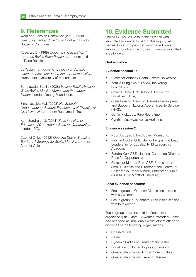## **9. References**

Work and Pension Committee (2012) Y*outh Unemployment and the Youth Contract*, London: House of Commons.

Rose, E.J.B. (1969) *Colour and Citizenship*: *A report on British Race Relations:* London: Institute of Race Relations.

Li, Yaojun (forthcoming) *Ethnicity and public sector employment during the current recession*, Manchester: University of Manchester.

Bunglawala, Zamila (2008) *Valuing Family, Valuing Work: British Muslim Women and the Labour Market*, London: Young Foundation.

Sims, Jessica Mai, (2008) *Not Enough Understanding: Student Experiences of Diversity at UK Universities*, London: Runnymede Trust.

Kerr, Sandra et al. (2011) *Race into Higher Education: 2011 Update, Race for Opportunity,*  London: RfO.

Cabinet Office (2012) *Opening Doors, Breaking Barriers: A Strategy for Social Mobility*. London: Cabinet Office.

## **10. Evidence Submitted**

The APPG would like to thank all those who submitted evidence as part of this inquiry, as well as those who provided informal advice and support throughout the inquiry. Evidence submitted is as follows:

#### **Oral evidence**

#### **Evidence session 1:**

- Professor Anthony Heath: Oxford University;
- Zamila Bunglawala: Fellow, the Young Foundation;
- Collette Cork-Hurst: National Officer for Equalities, Unite;
- Clare Bonson: Head of Business Development and Support, National Apprenticeship Service (NAS);
- Daniel Mokades: Rare Recruitment;
- Cynthia Masiyiwa: Active Horizons.

#### **Evidence session 2:**

- Noor Ali: Lead Ethnic Buyer, Morrisons;
- Yvonne Coghill OBE: Senior Programme Lead, Leadership for Equality, NHS Leadership Academy;
- Sandra Kerr OBE: National Campaign Director, Race for Opportunity;
- Professor Monder Ram OBE: Professor of Small Business and Director of the Centre for Research in Ethnic Minority Entrepreneurship (CRÈME), De Montfort University.

#### **Local evidence sessions:**

- Focus group in Oldham: Discussion session with six women;
- Focus group in Tottenham: Discussion session with four women;

Focus group sessions held in Manchester, organised with Oxfam: 23 women attended. Some had attended as individuals whilst others attended on behalf of the following organisations:

- Cheshire PCT
- Dewa
- Dynamic Ladies of Greater Manchester
- Equality and Human Rights Commission
- Greater Manchester African Communities
- Greater Manchester Fire and Rescue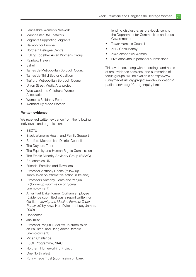- Lancashire Women's Network
- Manchester BME network
- Migrants Supporting Migrants
- Network for Europe
- Northern Refugee Centre
- Pulling Together Asian Womens Group
- Rainbow Haven
- Saheli
- Tameside Metropolitan Borough Council
- Tameside Third Sector Coalition
- **Trafford Metropolitan Borough Council**
- Union Street Media Arts project
- Westwood and Coldhurst Women Association
- Women's Solidarity Forum
- Wonderfully Made Women

#### **Written evidence:**

We received written evidence from the following individuals and organisations:

- BECTU
- Black Women's Health and Family Support
- Bradford Metropolitan District Council
- The Daycare Trust
- The Equality and Human Rights Commission
- The Ethnic Minority Advisory Group (EMAG)
- Equanomics UK
- Friends, Families and Travellers
- Professor Anthony Health (follow-up submission on affirmative action in Ireland)
- Professors Anthony Heath and Yaojun Li (follow-up submission on Somali unemployment)
- Anya Hart Dyke, former Quilliam employee (Evidence submitted was a report written for Quilliam: *Immigrant, Muslim, Female: Triple Paralysis?* by Anya Hart Dyke and Lucy James, 2009)
- Hopscotch
- Jan Trust
- Professor Yaojun Li (follow up submission on Pakistani and Bangladeshi female unemployment)
- Micah Challenge
- ESOL Programme, NIACE
- Northern Homeworking Project
- One North West
- Runnymede Trust (submission on bank

lending disclosure, as previously sent to the Department for Communities and Local Government)

- Tower Hamlets Council
- **ZHQ Consultancy**
- Ziwo Zimbabwe Women
- Five anonymous personal submissions

This evidence, along with recordings and notes of oral evidence sessions, and summaries of focus groups, will be available at http://www. runnymedetrust.org/projects-and-publications/ parliament/appg-2/appg-inquiry.html